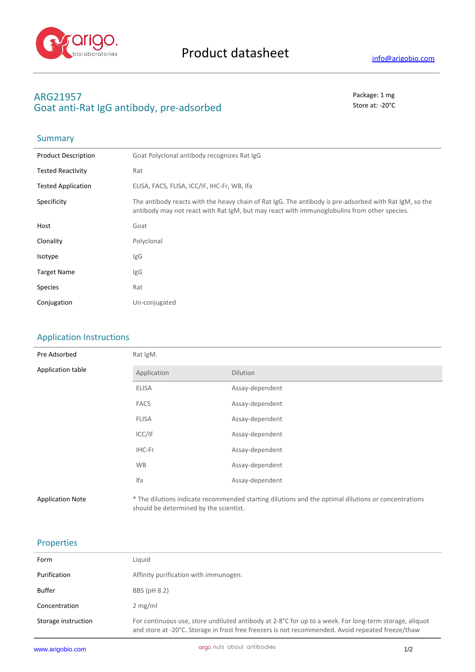

**Summary** 

# **ARG21957** Package: 1 mg Goat anti-Rat IgG antibody, pre-adsorbed stational state at: -20<sup>°</sup>C

| <b>Product Description</b> | Goat Polyclonal antibody recognizes Rat IgG                                                                                                                                                           |
|----------------------------|-------------------------------------------------------------------------------------------------------------------------------------------------------------------------------------------------------|
| <b>Tested Reactivity</b>   | Rat                                                                                                                                                                                                   |
| <b>Tested Application</b>  | ELISA, FACS, FLISA, ICC/IF, IHC-Fr, WB, Ifa                                                                                                                                                           |
| Specificity                | The antibody reacts with the heavy chain of Rat IgG. The antibody is pre-adsorbed with Rat IgM, so the<br>antibody may not react with Rat IgM, but may react with immunoglobulins from other species. |
| Host                       | Goat                                                                                                                                                                                                  |
| Clonality                  | Polyclonal                                                                                                                                                                                            |
| Isotype                    | IgG                                                                                                                                                                                                   |
| <b>Target Name</b>         | <b>IgG</b>                                                                                                                                                                                            |
| <b>Species</b>             | Rat                                                                                                                                                                                                   |
| Conjugation                | Un-conjugated                                                                                                                                                                                         |
|                            |                                                                                                                                                                                                       |

## Application Instructions

| Pre Adsorbed            | Rat IgM.                               |                                                                                                     |  |
|-------------------------|----------------------------------------|-----------------------------------------------------------------------------------------------------|--|
| Application table       | Application                            | <b>Dilution</b>                                                                                     |  |
|                         | <b>ELISA</b>                           | Assay-dependent                                                                                     |  |
|                         | <b>FACS</b>                            | Assay-dependent                                                                                     |  |
|                         | <b>FLISA</b>                           | Assay-dependent                                                                                     |  |
|                         | ICC/IF                                 | Assay-dependent                                                                                     |  |
|                         | IHC-Fr                                 | Assay-dependent                                                                                     |  |
|                         | <b>WB</b>                              | Assay-dependent                                                                                     |  |
|                         | Ifa                                    | Assay-dependent                                                                                     |  |
| <b>Application Note</b> | should be determined by the scientist. | * The dilutions indicate recommended starting dilutions and the optimal dilutions or concentrations |  |

### Properties

| Form                | Liquid                                                                                                                                                                                                                 |
|---------------------|------------------------------------------------------------------------------------------------------------------------------------------------------------------------------------------------------------------------|
| Purification        | Affinity purification with immunogen.                                                                                                                                                                                  |
| Buffer              | BBS (pH 8.2)                                                                                                                                                                                                           |
| Concentration       | $2$ mg/ml                                                                                                                                                                                                              |
| Storage instruction | For continuous use, store undiluted antibody at 2-8 $^{\circ}$ C for up to a week. For long-term storage, aliquot<br>and store at -20°C. Storage in frost free freezers is not recommended. Avoid repeated freeze/thaw |